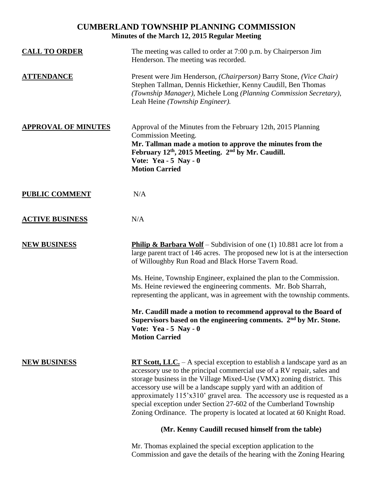## **CUMBERLAND TOWNSHIP PLANNING COMMISSION Minutes of the March 12, 2015 Regular Meeting**

| <b>CALL TO ORDER</b>       | The meeting was called to order at 7:00 p.m. by Chairperson Jim<br>Henderson. The meeting was recorded.                                                                                                                                                                                                                                                                                                                                                                                                                              |
|----------------------------|--------------------------------------------------------------------------------------------------------------------------------------------------------------------------------------------------------------------------------------------------------------------------------------------------------------------------------------------------------------------------------------------------------------------------------------------------------------------------------------------------------------------------------------|
| <b>ATTENDANCE</b>          | Present were Jim Henderson, (Chairperson) Barry Stone, (Vice Chair)<br>Stephen Tallman, Dennis Hickethier, Kenny Caudill, Ben Thomas<br>(Township Manager), Michele Long (Planning Commission Secretary),<br>Leah Heine (Township Engineer).                                                                                                                                                                                                                                                                                         |
| <b>APPROVAL OF MINUTES</b> | Approval of the Minutes from the February 12th, 2015 Planning<br>Commission Meeting.<br>Mr. Tallman made a motion to approve the minutes from the<br>February 12th, 2015 Meeting. 2 <sup>nd</sup> by Mr. Caudill.<br>Vote: Yea - $5$ Nay - 0<br><b>Motion Carried</b>                                                                                                                                                                                                                                                                |
| <b>PUBLIC COMMENT</b>      | N/A                                                                                                                                                                                                                                                                                                                                                                                                                                                                                                                                  |
| <b>ACTIVE BUSINESS</b>     | N/A                                                                                                                                                                                                                                                                                                                                                                                                                                                                                                                                  |
| <b>NEW BUSINESS</b>        | <b>Philip &amp; Barbara Wolf</b> – Subdivision of one (1) 10.881 acre lot from a<br>large parent tract of 146 acres. The proposed new lot is at the intersection<br>of Willoughby Run Road and Black Horse Tavern Road.                                                                                                                                                                                                                                                                                                              |
|                            | Ms. Heine, Township Engineer, explained the plan to the Commission.<br>Ms. Heine reviewed the engineering comments. Mr. Bob Sharrah,<br>representing the applicant, was in agreement with the township comments.                                                                                                                                                                                                                                                                                                                     |
|                            | Mr. Caudill made a motion to recommend approval to the Board of<br>Supervisors based on the engineering comments. 2 <sup>nd</sup> by Mr. Stone.<br>Vote: Yea - $5$ Nay - 0<br><b>Motion Carried</b>                                                                                                                                                                                                                                                                                                                                  |
| <b>NEW BUSINESS</b>        | <b>RT Scott, LLC.</b> - A special exception to establish a landscape yard as an<br>accessory use to the principal commercial use of a RV repair, sales and<br>storage business in the Village Mixed-Use (VMX) zoning district. This<br>accessory use will be a landscape supply yard with an addition of<br>approximately 115'x310' gravel area. The accessory use is requested as a<br>special exception under Section 27-602 of the Cumberland Township<br>Zoning Ordinance. The property is located at located at 60 Knight Road. |
|                            | (Mr. Kenny Caudill recused himself from the table)                                                                                                                                                                                                                                                                                                                                                                                                                                                                                   |
|                            | Mr. Thomas explained the special exception application to the                                                                                                                                                                                                                                                                                                                                                                                                                                                                        |

Commission and gave the details of the hearing with the Zoning Hearing